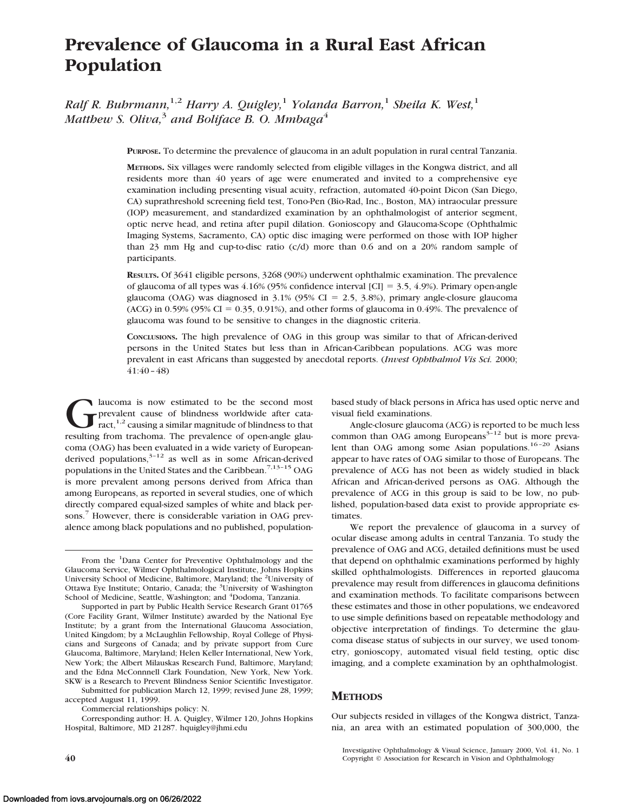# **Prevalence of Glaucoma in a Rural East African Population**

*Ralf R. Buhrmann,*1,2 *Harry A. Quigley,*<sup>1</sup> *Yolanda Barron,*<sup>1</sup> *Sheila K. West,*<sup>1</sup> *Matthew S. Oliva*<sup>3</sup> *and Boliface B. O. Mmbaga*<sup>4</sup>

**PURPOSE.** To determine the prevalence of glaucoma in an adult population in rural central Tanzania.

**METHODS.** Six villages were randomly selected from eligible villages in the Kongwa district, and all residents more than 40 years of age were enumerated and invited to a comprehensive eye examination including presenting visual acuity, refraction, automated 40-point Dicon (San Diego, CA) suprathreshold screening field test, Tono-Pen (Bio-Rad, Inc., Boston, MA) intraocular pressure (IOP) measurement, and standardized examination by an ophthalmologist of anterior segment, optic nerve head, and retina after pupil dilation. Gonioscopy and Glaucoma-Scope (Ophthalmic Imaging Systems, Sacramento, CA) optic disc imaging were performed on those with IOP higher than 23 mm Hg and cup-to-disc ratio (c/d) more than 0.6 and on a 20% random sample of participants.

**RESULTS.** Of 3641 eligible persons, 3268 (90%) underwent ophthalmic examination. The prevalence of glaucoma of all types was  $4.16\%$  (95% confidence interval [CI] = 3.5,  $4.9\%$ ). Primary open-angle glaucoma (OAG) was diagnosed in  $3.1\%$  (95% CI = 2.5, 3.8%), primary angle-closure glaucoma (ACG) in 0.59% (95% CI = 0.35, 0.91%), and other forms of glaucoma in 0.49%. The prevalence of glaucoma was found to be sensitive to changes in the diagnostic criteria.

**CONCLUSIONS.** The high prevalence of OAG in this group was similar to that of African-derived persons in the United States but less than in African-Caribbean populations. ACG was more prevalent in east Africans than suggested by anecdotal reports. (*Invest Ophthalmol Vis Sci.* 2000; 41:40–48)

Iaucoma is now estimated to be the second most<br>prevalent cause of blindness worldwide after cata-<br>ract,<sup>1,2</sup> causing a similar magnitude of blindness to that<br>resulting from trachoma. The prevalence of open-angle glauprevalent cause of blindness worldwide after cataract, $1,2$  causing a similar magnitude of blindness to that resulting from trachoma. The prevalence of open-angle glaucoma (OAG) has been evaluated in a wide variety of Europeanderived populations, $3-12$  as well as in some African-derived populations in the United States and the Caribbean.<sup>7,13-15</sup> OAG is more prevalent among persons derived from Africa than among Europeans, as reported in several studies, one of which directly compared equal-sized samples of white and black persons.7 However, there is considerable variation in OAG prevalence among black populations and no published, population-

Supported in part by Public Health Service Research Grant 01765 (Core Facility Grant, Wilmer Institute) awarded by the National Eye Institute; by a grant from the International Glaucoma Association, United Kingdom; by a McLaughlin Fellowship, Royal College of Physicians and Surgeons of Canada; and by private support from Cure Glaucoma, Baltimore, Maryland; Helen Keller International, New York, New York; the Albert Milauskas Research Fund, Baltimore, Maryland; and the Edna McConnnell Clark Foundation, New York, New York. SKW is a Research to Prevent Blindness Senior Scientific Investigator.

Submitted for publication March 12, 1999; revised June 28, 1999; accepted August 11, 1999.

Commercial relationships policy: N.

Corresponding author: H. A. Quigley, Wilmer 120, Johns Hopkins Hospital, Baltimore, MD 21287. hquigley@jhmi.edu

based study of black persons in Africa has used optic nerve and visual field examinations.

Angle-closure glaucoma (ACG) is reported to be much less common than OAG among Europeans $3-12$  but is more prevalent than OAG among some Asian populations.<sup>16-20</sup> Asians appear to have rates of OAG similar to those of Europeans. The prevalence of ACG has not been as widely studied in black African and African-derived persons as OAG. Although the prevalence of ACG in this group is said to be low, no published, population-based data exist to provide appropriate estimates.

We report the prevalence of glaucoma in a survey of ocular disease among adults in central Tanzania. To study the prevalence of OAG and ACG, detailed definitions must be used that depend on ophthalmic examinations performed by highly skilled ophthalmologists. Differences in reported glaucoma prevalence may result from differences in glaucoma definitions and examination methods. To facilitate comparisons between these estimates and those in other populations, we endeavored to use simple definitions based on repeatable methodology and objective interpretation of findings. To determine the glaucoma disease status of subjects in our survey, we used tonometry, gonioscopy, automated visual field testing, optic disc imaging, and a complete examination by an ophthalmologist.

### **METHODS**

Our subjects resided in villages of the Kongwa district, Tanzania, an area with an estimated population of 300,000, the

From the <sup>1</sup>Dana Center for Preventive Ophthalmology and the Glaucoma Service, Wilmer Ophthalmological Institute, Johns Hopkins University School of Medicine, Baltimore, Maryland; the <sup>2</sup>University of Ottawa Eye Institute; Ontario, Canada; the <sup>3</sup>University of Washington School of Medicine, Seattle, Washington; and <sup>4</sup>Dodoma, Tanzania.

Investigative Ophthalmology & Visual Science, January 2000, Vol. 41, No. 1 **40** Copyright © Association for Research in Vision and Ophthalmology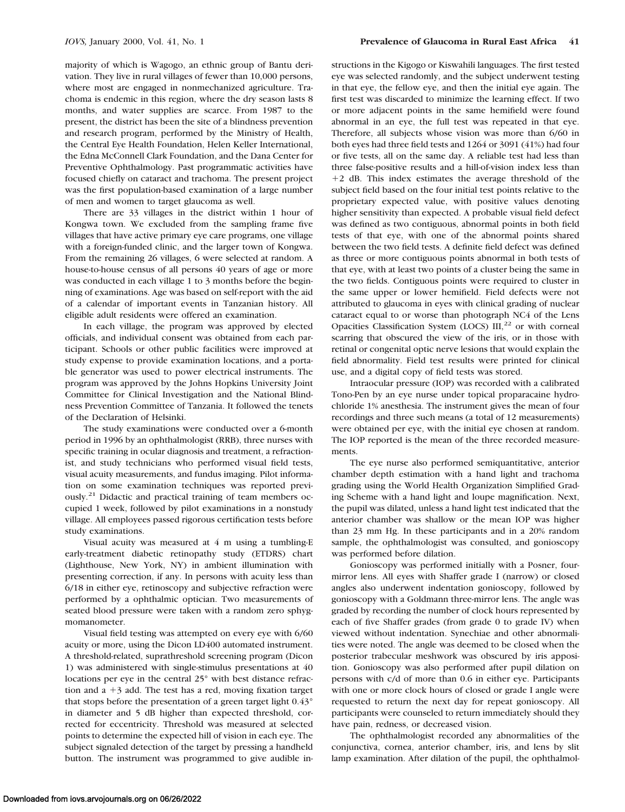majority of which is Wagogo, an ethnic group of Bantu derivation. They live in rural villages of fewer than 10,000 persons, where most are engaged in nonmechanized agriculture. Trachoma is endemic in this region, where the dry season lasts 8 months, and water supplies are scarce. From 1987 to the present, the district has been the site of a blindness prevention and research program, performed by the Ministry of Health, the Central Eye Health Foundation, Helen Keller International, the Edna McConnell Clark Foundation, and the Dana Center for Preventive Ophthalmology. Past programmatic activities have focused chiefly on cataract and trachoma. The present project was the first population-based examination of a large number of men and women to target glaucoma as well.

There are 33 villages in the district within 1 hour of Kongwa town. We excluded from the sampling frame five villages that have active primary eye care programs, one village with a foreign-funded clinic, and the larger town of Kongwa. From the remaining 26 villages, 6 were selected at random. A house-to-house census of all persons 40 years of age or more was conducted in each village 1 to 3 months before the beginning of examinations. Age was based on self-report with the aid of a calendar of important events in Tanzanian history. All eligible adult residents were offered an examination.

In each village, the program was approved by elected officials, and individual consent was obtained from each participant. Schools or other public facilities were improved at study expense to provide examination locations, and a portable generator was used to power electrical instruments. The program was approved by the Johns Hopkins University Joint Committee for Clinical Investigation and the National Blindness Prevention Committee of Tanzania. It followed the tenets of the Declaration of Helsinki.

The study examinations were conducted over a 6-month period in 1996 by an ophthalmologist (RRB), three nurses with specific training in ocular diagnosis and treatment, a refractionist, and study technicians who performed visual field tests, visual acuity measurements, and fundus imaging. Pilot information on some examination techniques was reported previously.<sup>21</sup> Didactic and practical training of team members occupied 1 week, followed by pilot examinations in a nonstudy village. All employees passed rigorous certification tests before study examinations.

Visual acuity was measured at 4 m using a tumbling-E early-treatment diabetic retinopathy study (ETDRS) chart (Lighthouse, New York, NY) in ambient illumination with presenting correction, if any. In persons with acuity less than 6/18 in either eye, retinoscopy and subjective refraction were performed by a ophthalmic optician. Two measurements of seated blood pressure were taken with a random zero sphygmomanometer.

Visual field testing was attempted on every eye with 6/60 acuity or more, using the Dicon LD400 automated instrument. A threshold-related, suprathreshold screening program (Dicon 1) was administered with single-stimulus presentations at 40 locations per eye in the central 25° with best distance refraction and  $a + 3$  add. The test has a red, moving fixation target that stops before the presentation of a green target light 0.43° in diameter and 5 dB higher than expected threshold, corrected for eccentricity. Threshold was measured at selected points to determine the expected hill of vision in each eye. The subject signaled detection of the target by pressing a handheld button. The instrument was programmed to give audible instructions in the Kigogo or Kiswahili languages. The first tested eye was selected randomly, and the subject underwent testing in that eye, the fellow eye, and then the initial eye again. The first test was discarded to minimize the learning effect. If two or more adjacent points in the same hemifield were found abnormal in an eye, the full test was repeated in that eye. Therefore, all subjects whose vision was more than 6/60 in both eyes had three field tests and 1264 or 3091 (41%) had four or five tests, all on the same day. A reliable test had less than three false-positive results and a hill-of-vision index less than 12 dB. This index estimates the average threshold of the subject field based on the four initial test points relative to the proprietary expected value, with positive values denoting higher sensitivity than expected. A probable visual field defect was defined as two contiguous, abnormal points in both field tests of that eye, with one of the abnormal points shared between the two field tests. A definite field defect was defined as three or more contiguous points abnormal in both tests of that eye, with at least two points of a cluster being the same in the two fields. Contiguous points were required to cluster in the same upper or lower hemifield. Field defects were not attributed to glaucoma in eyes with clinical grading of nuclear cataract equal to or worse than photograph NC4 of the Lens Opacities Classification System (LOCS)  $III$ ,<sup>22</sup> or with corneal scarring that obscured the view of the iris, or in those with retinal or congenital optic nerve lesions that would explain the field abnormality. Field test results were printed for clinical use, and a digital copy of field tests was stored.

Intraocular pressure (IOP) was recorded with a calibrated Tono-Pen by an eye nurse under topical proparacaine hydrochloride 1% anesthesia. The instrument gives the mean of four recordings and three such means (a total of 12 measurements) were obtained per eye, with the initial eye chosen at random. The IOP reported is the mean of the three recorded measurements.

The eye nurse also performed semiquantitative, anterior chamber depth estimation with a hand light and trachoma grading using the World Health Organization Simplified Grading Scheme with a hand light and loupe magnification. Next, the pupil was dilated, unless a hand light test indicated that the anterior chamber was shallow or the mean IOP was higher than 23 mm Hg. In these participants and in a 20% random sample, the ophthalmologist was consulted, and gonioscopy was performed before dilation.

Gonioscopy was performed initially with a Posner, fourmirror lens. All eyes with Shaffer grade I (narrow) or closed angles also underwent indentation gonioscopy, followed by gonioscopy with a Goldmann three-mirror lens. The angle was graded by recording the number of clock hours represented by each of five Shaffer grades (from grade 0 to grade IV) when viewed without indentation. Synechiae and other abnormalities were noted. The angle was deemed to be closed when the posterior trabecular meshwork was obscured by iris apposition. Gonioscopy was also performed after pupil dilation on persons with c/d of more than 0.6 in either eye. Participants with one or more clock hours of closed or grade I angle were requested to return the next day for repeat gonioscopy. All participants were counseled to return immediately should they have pain, redness, or decreased vision.

The ophthalmologist recorded any abnormalities of the conjunctiva, cornea, anterior chamber, iris, and lens by slit lamp examination. After dilation of the pupil, the ophthalmol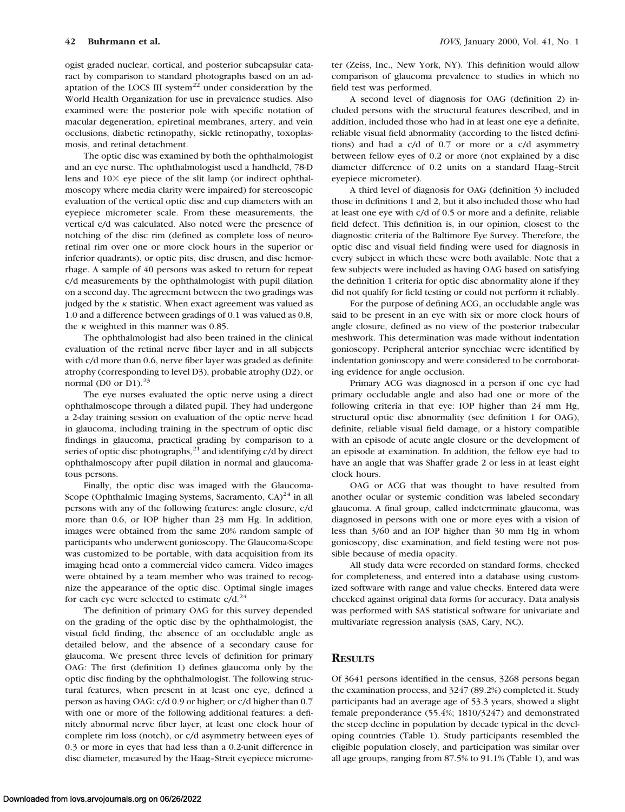ogist graded nuclear, cortical, and posterior subcapsular cataract by comparison to standard photographs based on an adaptation of the LOCS III system $^{22}$  under consideration by the World Health Organization for use in prevalence studies. Also examined were the posterior pole with specific notation of macular degeneration, epiretinal membranes, artery, and vein occlusions, diabetic retinopathy, sickle retinopathy, toxoplasmosis, and retinal detachment.

The optic disc was examined by both the ophthalmologist and an eye nurse. The ophthalmologist used a handheld, 78-D lens and  $10\times$  eye piece of the slit lamp (or indirect ophthalmoscopy where media clarity were impaired) for stereoscopic evaluation of the vertical optic disc and cup diameters with an eyepiece micrometer scale. From these measurements, the vertical c/d was calculated. Also noted were the presence of notching of the disc rim (defined as complete loss of neuroretinal rim over one or more clock hours in the superior or inferior quadrants), or optic pits, disc drusen, and disc hemorrhage. A sample of 40 persons was asked to return for repeat c/d measurements by the ophthalmologist with pupil dilation on a second day. The agreement between the two gradings was judged by the  $\kappa$  statistic. When exact agreement was valued as 1.0 and a difference between gradings of 0.1 was valued as 0.8, the  $\kappa$  weighted in this manner was 0.85.

The ophthalmologist had also been trained in the clinical evaluation of the retinal nerve fiber layer and in all subjects with c/d more than 0.6, nerve fiber layer was graded as definite atrophy (corresponding to level D3), probable atrophy (D2), or normal (D0 or D1). $^{23}$ 

The eye nurses evaluated the optic nerve using a direct ophthalmoscope through a dilated pupil. They had undergone a 2-day training session on evaluation of the optic nerve head in glaucoma, including training in the spectrum of optic disc findings in glaucoma, practical grading by comparison to a series of optic disc photographs, $21$  and identifying c/d by direct ophthalmoscopy after pupil dilation in normal and glaucomatous persons.

Finally, the optic disc was imaged with the Glaucoma-Scope (Ophthalmic Imaging Systems, Sacramento,  $CA)^{24}$  in all persons with any of the following features: angle closure, c/d more than 0.6, or IOP higher than 23 mm Hg. In addition, images were obtained from the same 20% random sample of participants who underwent gonioscopy. The Glaucoma-Scope was customized to be portable, with data acquisition from its imaging head onto a commercial video camera. Video images were obtained by a team member who was trained to recognize the appearance of the optic disc. Optimal single images for each eye were selected to estimate  $c/d.<sup>24</sup>$ 

The definition of primary OAG for this survey depended on the grading of the optic disc by the ophthalmologist, the visual field finding, the absence of an occludable angle as detailed below, and the absence of a secondary cause for glaucoma. We present three levels of definition for primary OAG: The first (definition 1) defines glaucoma only by the optic disc finding by the ophthalmologist. The following structural features, when present in at least one eye, defined a person as having OAG: c/d 0.9 or higher; or c/d higher than 0.7 with one or more of the following additional features: a definitely abnormal nerve fiber layer, at least one clock hour of complete rim loss (notch), or c/d asymmetry between eyes of 0.3 or more in eyes that had less than a 0.2-unit difference in disc diameter, measured by the Haag–Streit eyepiece micrometer (Zeiss, Inc., New York, NY). This definition would allow comparison of glaucoma prevalence to studies in which no field test was performed.

A second level of diagnosis for OAG (definition 2) included persons with the structural features described, and in addition, included those who had in at least one eye a definite, reliable visual field abnormality (according to the listed definitions) and had a c/d of 0.7 or more or a c/d asymmetry between fellow eyes of 0.2 or more (not explained by a disc diameter difference of 0.2 units on a standard Haag–Streit eyepiece micrometer).

A third level of diagnosis for OAG (definition 3) included those in definitions 1 and 2, but it also included those who had at least one eye with c/d of 0.5 or more and a definite, reliable field defect. This definition is, in our opinion, closest to the diagnostic criteria of the Baltimore Eye Survey. Therefore, the optic disc and visual field finding were used for diagnosis in every subject in which these were both available. Note that a few subjects were included as having OAG based on satisfying the definition 1 criteria for optic disc abnormality alone if they did not qualify for field testing or could not perform it reliably.

For the purpose of defining ACG, an occludable angle was said to be present in an eye with six or more clock hours of angle closure, defined as no view of the posterior trabecular meshwork. This determination was made without indentation gonioscopy. Peripheral anterior synechiae were identified by indentation gonioscopy and were considered to be corroborating evidence for angle occlusion.

Primary ACG was diagnosed in a person if one eye had primary occludable angle and also had one or more of the following criteria in that eye: IOP higher than 24 mm Hg, structural optic disc abnormality (see definition 1 for OAG), definite, reliable visual field damage, or a history compatible with an episode of acute angle closure or the development of an episode at examination. In addition, the fellow eye had to have an angle that was Shaffer grade 2 or less in at least eight clock hours.

OAG or ACG that was thought to have resulted from another ocular or systemic condition was labeled secondary glaucoma. A final group, called indeterminate glaucoma, was diagnosed in persons with one or more eyes with a vision of less than 3/60 and an IOP higher than 30 mm Hg in whom gonioscopy, disc examination, and field testing were not possible because of media opacity.

All study data were recorded on standard forms, checked for completeness, and entered into a database using customized software with range and value checks. Entered data were checked against original data forms for accuracy. Data analysis was performed with SAS statistical software for univariate and multivariate regression analysis (SAS, Cary, NC).

# **RESULTS**

Of 3641 persons identified in the census, 3268 persons began the examination process, and 3247 (89.2%) completed it. Study participants had an average age of 53.3 years, showed a slight female preponderance (55.4%; 1810/3247) and demonstrated the steep decline in population by decade typical in the developing countries (Table 1). Study participants resembled the eligible population closely, and participation was similar over all age groups, ranging from 87.5% to 91.1% (Table 1), and was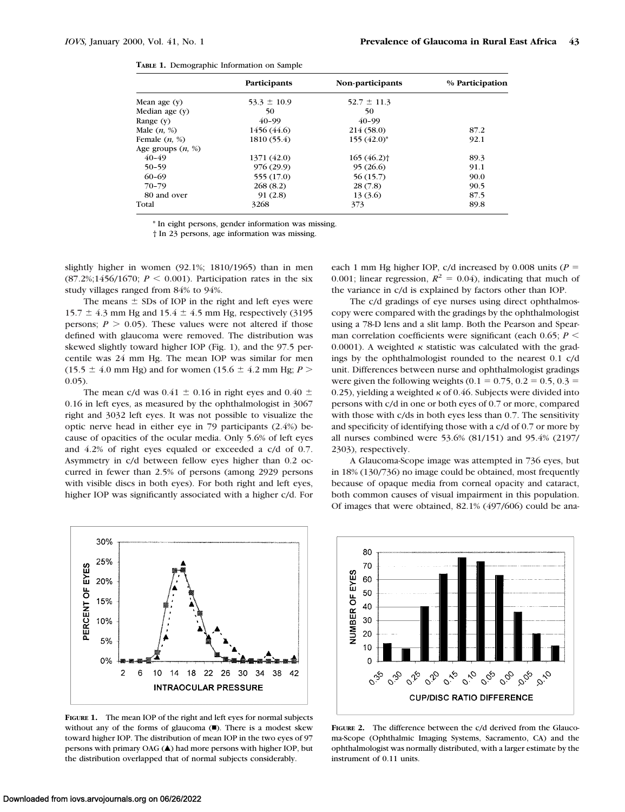|  | TABLE 1. Demographic Information on Sample |  |  |  |
|--|--------------------------------------------|--|--|--|
|--|--------------------------------------------|--|--|--|

|                     | Participants    | Non-participants         | % Participation |
|---------------------|-----------------|--------------------------|-----------------|
| Mean age $(y)$      | $53.3 \pm 10.9$ | $52.7 \pm 11.3$          |                 |
| Median age $(y)$    | 50              | 50                       |                 |
| Range $(y)$         | $40 - 99$       | $40 - 99$                |                 |
| Male $(n, %)$       | 1456 (44.6)     | 214 (58.0)               | 87.2            |
| Female $(n, %)$     | 1810(55.4)      | $155(42.0)^*$            | 92.1            |
| Age groups $(n, %)$ |                 |                          |                 |
| $40 - 49$           | 1371 (42.0)     | $165(46.2)$ <sup>+</sup> | 89.3            |
| $50 - 59$           | 976(29.9)       | 95(26.6)                 | 91.1            |
| 60-69               | 555 (17.0)      | 56(15.7)                 | 90.0            |
| $70 - 79$           | 268(8.2)        | 28(7.8)                  | 90.5            |
| 80 and over         | 91(2.8)         | 13 (3.6)                 | 87.5            |
| Total               | 3268            | 373                      | 89.8            |

\* In eight persons, gender information was missing.

† In 23 persons, age information was missing.

slightly higher in women (92.1%; 1810/1965) than in men  $(87.2\%;1456/1670; P \le 0.001)$ . Participation rates in the six study villages ranged from 84% to 94%.

The means  $\pm$  SDs of IOP in the right and left eyes were 15.7  $\pm$  4.3 mm Hg and 15.4  $\pm$  4.5 mm Hg, respectively (3195) persons;  $P > 0.05$ ). These values were not altered if those defined with glaucoma were removed. The distribution was skewed slightly toward higher IOP (Fig. 1), and the 97.5 percentile was 24 mm Hg. The mean IOP was similar for men  $(15.5 \pm 4.0 \text{ mm Hg})$  and for women  $(15.6 \pm 4.2 \text{ mm Hg}; P >$ 0.05).

The mean c/d was 0.41  $\pm$  0.16 in right eyes and 0.40  $\pm$ 0.16 in left eyes, as measured by the ophthalmologist in 3067 right and 3032 left eyes. It was not possible to visualize the optic nerve head in either eye in 79 participants (2.4%) because of opacities of the ocular media. Only 5.6% of left eyes and 4.2% of right eyes equaled or exceeded a c/d of 0.7. Asymmetry in c/d between fellow eyes higher than 0.2 occurred in fewer than 2.5% of persons (among 2929 persons with visible discs in both eyes). For both right and left eyes, higher IOP was significantly associated with a higher c/d. For

30% 25% PERCENT OF EYES 20% 15% 10% 5% 0%  $\overline{c}$  $10<sub>1</sub>$  $14$ 18 22 26 30 34 38 42 6 **INTRAOCULAR PRESSURE** 

**FIGURE 1.** The mean IOP of the right and left eyes for normal subjects without any of the forms of glaucoma  $(\blacksquare)$ . There is a modest skew toward higher IOP. The distribution of mean IOP in the two eyes of 97 persons with primary OAG ( $\blacktriangle$ ) had more persons with higher IOP, but the distribution overlapped that of normal subjects considerably.

each 1 mm Hg higher IOP,  $c/d$  increased by 0.008 units ( $P =$ 0.001; linear regression,  $R^2 = 0.04$ ), indicating that much of the variance in c/d is explained by factors other than IOP.

The c/d gradings of eye nurses using direct ophthalmoscopy were compared with the gradings by the ophthalmologist using a 78-D lens and a slit lamp. Both the Pearson and Spearman correlation coefficients were significant (each  $0.65$ ;  $P \leq$ 0.0001). A weighted  $\kappa$  statistic was calculated with the gradings by the ophthalmologist rounded to the nearest 0.1 c/d unit. Differences between nurse and ophthalmologist gradings were given the following weights  $(0.1 = 0.75, 0.2 = 0.5, 0.3 =$ 0.25), yielding a weighted  $\kappa$  of 0.46. Subjects were divided into persons with c/d in one or both eyes of 0.7 or more, compared with those with c/ds in both eyes less than 0.7. The sensitivity and specificity of identifying those with a c/d of 0.7 or more by all nurses combined were 53.6% (81/151) and 95.4% (2197/ 2303), respectively.

A Glaucoma-Scope image was attempted in 736 eyes, but in 18% (130/736) no image could be obtained, most frequently because of opaque media from corneal opacity and cataract, both common causes of visual impairment in this population. Of images that were obtained, 82.1% (497/606) could be ana-



**FIGURE 2.** The difference between the c/d derived from the Glaucoma-Scope (Ophthalmic Imaging Systems, Sacramento, CA) and the ophthalmologist was normally distributed, with a larger estimate by the instrument of 0.11 units.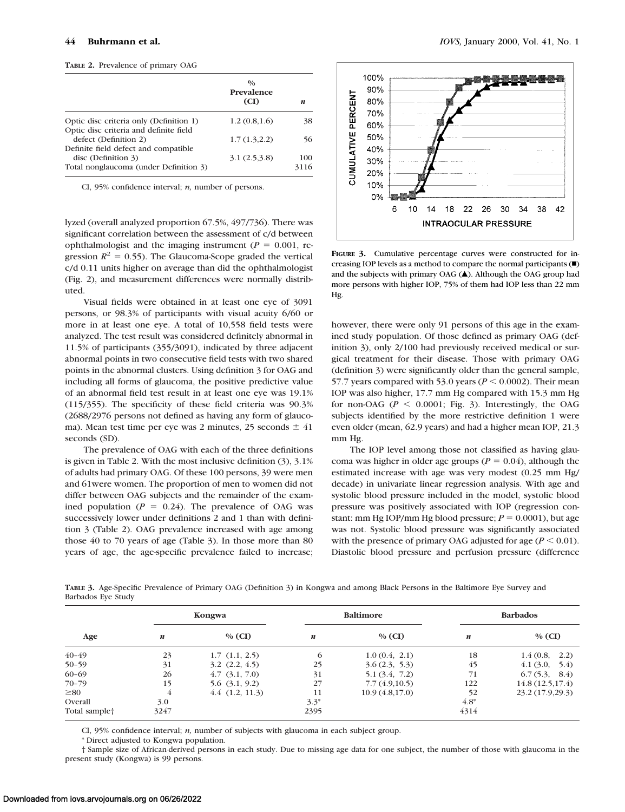|  | TABLE 2. Prevalence of primary OAG |  |  |
|--|------------------------------------|--|--|
|--|------------------------------------|--|--|

|                                                                                                       | $\frac{0}{0}$<br>Prevalence<br>(CI) | n           |
|-------------------------------------------------------------------------------------------------------|-------------------------------------|-------------|
| Optic disc criteria only (Definition 1)                                                               | 1.2(0.8, 1.6)                       | 38          |
| Optic disc criteria and definite field<br>defect (Definition 2)                                       | 1.7(1.3,2.2)                        | 56          |
| Definite field defect and compatible<br>disc (Definition 3)<br>Total nonglaucoma (under Definition 3) | 3.1(2.5.3.8)                        | 100<br>3116 |

CI, 95% confidence interval; *n,* number of persons.

lyzed (overall analyzed proportion 67.5%, 497/736). There was significant correlation between the assessment of c/d between ophthalmologist and the imaging instrument ( $P = 0.001$ , regression  $R^2 = 0.55$ ). The Glaucoma-Scope graded the vertical c/d 0.11 units higher on average than did the ophthalmologist (Fig. 2), and measurement differences were normally distributed.

Visual fields were obtained in at least one eye of 3091 persons, or 98.3% of participants with visual acuity 6/60 or more in at least one eye. A total of 10,558 field tests were analyzed. The test result was considered definitely abnormal in 11.5% of participants (355/3091), indicated by three adjacent abnormal points in two consecutive field tests with two shared points in the abnormal clusters. Using definition 3 for OAG and including all forms of glaucoma, the positive predictive value of an abnormal field test result in at least one eye was 19.1% (115/355). The specificity of these field criteria was 90.3% (2688/2976 persons not defined as having any form of glaucoma). Mean test time per eye was 2 minutes, 25 seconds  $\pm$  41 seconds (SD).

The prevalence of OAG with each of the three definitions is given in Table 2. With the most inclusive definition (3), 3.1% of adults had primary OAG. Of these 100 persons, 39 were men and 61were women. The proportion of men to women did not differ between OAG subjects and the remainder of the examined population  $(P = 0.24)$ . The prevalence of OAG was successively lower under definitions 2 and 1 than with definition 3 (Table 2). OAG prevalence increased with age among those 40 to 70 years of age (Table 3). In those more than 80 years of age, the age-specific prevalence failed to increase;



**FIGURE 3.** Cumulative percentage curves were constructed for increasing IOP levels as a method to compare the normal participants  $(\blacksquare)$ and the subjects with primary OAG  $(A)$ . Although the OAG group had more persons with higher IOP, 75% of them had IOP less than 22 mm Hg.

however, there were only 91 persons of this age in the examined study population. Of those defined as primary OAG (definition 3), only 2/100 had previously received medical or surgical treatment for their disease. Those with primary OAG (definition 3) were significantly older than the general sample, 57.7 years compared with 53.0 years ( $P < 0.0002$ ). Their mean IOP was also higher, 17.7 mm Hg compared with 15.3 mm Hg for non-OAG ( $P \le 0.0001$ ; Fig. 3). Interestingly, the OAG subjects identified by the more restrictive definition 1 were even older (mean, 62.9 years) and had a higher mean IOP, 21.3 mm Hg.

The IOP level among those not classified as having glaucoma was higher in older age groups ( $P = 0.04$ ), although the estimated increase with age was very modest (0.25 mm Hg/ decade) in univariate linear regression analysis. With age and systolic blood pressure included in the model, systolic blood pressure was positively associated with IOP (regression constant: mm Hg IOP/mm Hg blood pressure;  $P = 0.0001$ ), but age was not. Systolic blood pressure was significantly associated with the presence of primary OAG adjusted for age  $(P < 0.01)$ . Diastolic blood pressure and perfusion pressure (difference

**TABLE 3.** Age-Specific Prevalence of Primary OAG (Definition 3) in Kongwa and among Black Persons in the Baltimore Eye Survey and Barbados Eye Study

|                           | Kongwa |                    | <b>Baltimore</b> |                | <b>Barbados</b> |                  |
|---------------------------|--------|--------------------|------------------|----------------|-----------------|------------------|
| Age                       | n      | $%$ (CI)           | n                | $%$ (CI)       | n               | $%$ (CI)         |
| 40-49                     | 23     | $1.7$ $(1.1, 2.5)$ | 6                | 1.0(0.4, 2.1)  | 18              | 1.4(0.8, 2.2)    |
| $50 - 59$                 | 31     | $3.2$ $(2.2, 4.5)$ | 25               | 3.6(2.3, 5.3)  | 45              | 4.1(3.0, 5.4)    |
| $60 - 69$                 | 26     | $4.7$ $(3.1, 7.0)$ | 31               | 5.1(3.4, 7.2)  | 71              | 6.7(5.3, 8.4)    |
| $70 - 79$                 | 15     | $5.6$ $(3.1, 9.2)$ | 27               | 7.7(4.9,10.5)  | 122             | 14.8(12.5, 17.4) |
| $\geq 80$                 |        | 4.4(1.2, 11.3)     | 11               | 10.9(4.8,17.0) | 52              | 23.2 (17.9,29.3) |
| Overall                   | 3.0    |                    | $3.3*$           |                | $4.8*$          |                  |
| Total sample <sup>+</sup> | 3247   |                    | 2395             |                | 4314            |                  |

CI, 95% confidence interval; *n,* number of subjects with glaucoma in each subject group.

\* Direct adjusted to Kongwa population.

† Sample size of African-derived persons in each study. Due to missing age data for one subject, the number of those with glaucoma in the present study (Kongwa) is 99 persons.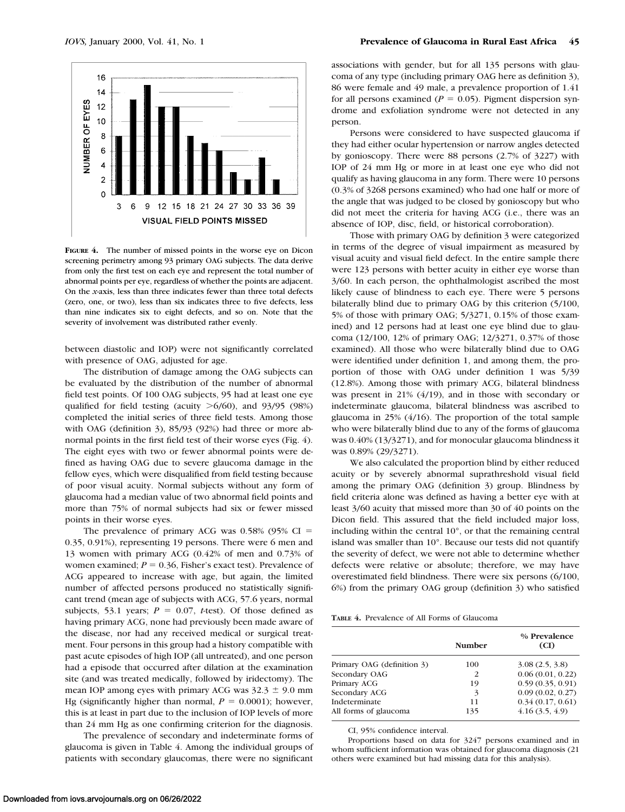

**FIGURE 4.** The number of missed points in the worse eye on Dicon screening perimetry among 93 primary OAG subjects. The data derive from only the first test on each eye and represent the total number of abnormal points per eye, regardless of whether the points are adjacent. On the *x*-axis, less than three indicates fewer than three total defects (zero, one, or two), less than six indicates three to five defects, less than nine indicates six to eight defects, and so on. Note that the severity of involvement was distributed rather evenly.

between diastolic and IOP) were not significantly correlated with presence of OAG, adjusted for age.

The distribution of damage among the OAG subjects can be evaluated by the distribution of the number of abnormal field test points. Of 100 OAG subjects, 95 had at least one eye qualified for field testing (acuity  $>6/60$ ), and 93/95 (98%) completed the initial series of three field tests. Among those with OAG (definition 3), 85/93 (92%) had three or more abnormal points in the first field test of their worse eyes (Fig. 4). The eight eyes with two or fewer abnormal points were defined as having OAG due to severe glaucoma damage in the fellow eyes, which were disqualified from field testing because of poor visual acuity. Normal subjects without any form of glaucoma had a median value of two abnormal field points and more than 75% of normal subjects had six or fewer missed points in their worse eyes.

The prevalence of primary ACG was  $0.58\%$  (95% CI = 0.35, 0.91%), representing 19 persons. There were 6 men and 13 women with primary ACG (0.42% of men and 0.73% of women examined;  $P = 0.36$ , Fisher's exact test). Prevalence of ACG appeared to increase with age, but again, the limited number of affected persons produced no statistically significant trend (mean age of subjects with ACG, 57.6 years, normal subjects, 53.1 years;  $P = 0.07$ , *t*-test). Of those defined as having primary ACG, none had previously been made aware of the disease, nor had any received medical or surgical treatment. Four persons in this group had a history compatible with past acute episodes of high IOP (all untreated), and one person had a episode that occurred after dilation at the examination site (and was treated medically, followed by iridectomy). The mean IOP among eyes with primary ACG was  $32.3 \pm 9.0$  mm Hg (significantly higher than normal,  $P = 0.0001$ ); however, this is at least in part due to the inclusion of IOP levels of more than 24 mm Hg as one confirming criterion for the diagnosis.

The prevalence of secondary and indeterminate forms of glaucoma is given in Table 4. Among the individual groups of patients with secondary glaucomas, there were no significant

associations with gender, but for all 135 persons with glaucoma of any type (including primary OAG here as definition 3), 86 were female and 49 male, a prevalence proportion of 1.41 for all persons examined ( $P = 0.05$ ). Pigment dispersion syndrome and exfoliation syndrome were not detected in any person.

Persons were considered to have suspected glaucoma if they had either ocular hypertension or narrow angles detected by gonioscopy. There were 88 persons (2.7% of 3227) with IOP of 24 mm Hg or more in at least one eye who did not qualify as having glaucoma in any form. There were 10 persons (0.3% of 3268 persons examined) who had one half or more of the angle that was judged to be closed by gonioscopy but who did not meet the criteria for having ACG (i.e., there was an absence of IOP, disc, field, or historical corroboration).

Those with primary OAG by definition 3 were categorized in terms of the degree of visual impairment as measured by visual acuity and visual field defect. In the entire sample there were 123 persons with better acuity in either eye worse than 3/60. In each person, the ophthalmologist ascribed the most likely cause of blindness to each eye. There were 5 persons bilaterally blind due to primary OAG by this criterion (5/100, 5% of those with primary OAG; 5/3271, 0.15% of those examined) and 12 persons had at least one eye blind due to glaucoma (12/100, 12% of primary OAG; 12/3271, 0.37% of those examined). All those who were bilaterally blind due to OAG were identified under definition 1, and among them, the proportion of those with OAG under definition 1 was 5/39 (12.8%). Among those with primary ACG, bilateral blindness was present in 21% (4/19), and in those with secondary or indeterminate glaucoma, bilateral blindness was ascribed to glaucoma in 25% (4/16). The proportion of the total sample who were bilaterally blind due to any of the forms of glaucoma was 0.40% (13/3271), and for monocular glaucoma blindness it was 0.89% (29/3271).

We also calculated the proportion blind by either reduced acuity or by severely abnormal suprathreshold visual field among the primary OAG (definition 3) group. Blindness by field criteria alone was defined as having a better eye with at least 3/60 acuity that missed more than 30 of 40 points on the Dicon field. This assured that the field included major loss, including within the central 10°, or that the remaining central island was smaller than 10°. Because our tests did not quantify the severity of defect, we were not able to determine whether defects were relative or absolute; therefore, we may have overestimated field blindness. There were six persons (6/100, 6%) from the primary OAG group (definition 3) who satisfied

**TABLE 4.** Prevalence of All Forms of Glaucoma

|                            | Number | % Prevalence<br>(CI) |
|----------------------------|--------|----------------------|
| Primary OAG (definition 3) | 100    | 3.08(2.5, 3.8)       |
| Secondary OAG              | 2      | 0.06(0.01, 0.22)     |
| Primary ACG                | 19     | 0.59(0.35, 0.91)     |
| Secondary ACG              | 3      | 0.09(0.02, 0.27)     |
| Indeterminate              | 11     | 0.34(0.17, 0.61)     |
| All forms of glaucoma      | 135    | 4.16(3.5, 4.9)       |

CI, 95% confidence interval.

Proportions based on data for 3247 persons examined and in whom sufficient information was obtained for glaucoma diagnosis (21 others were examined but had missing data for this analysis).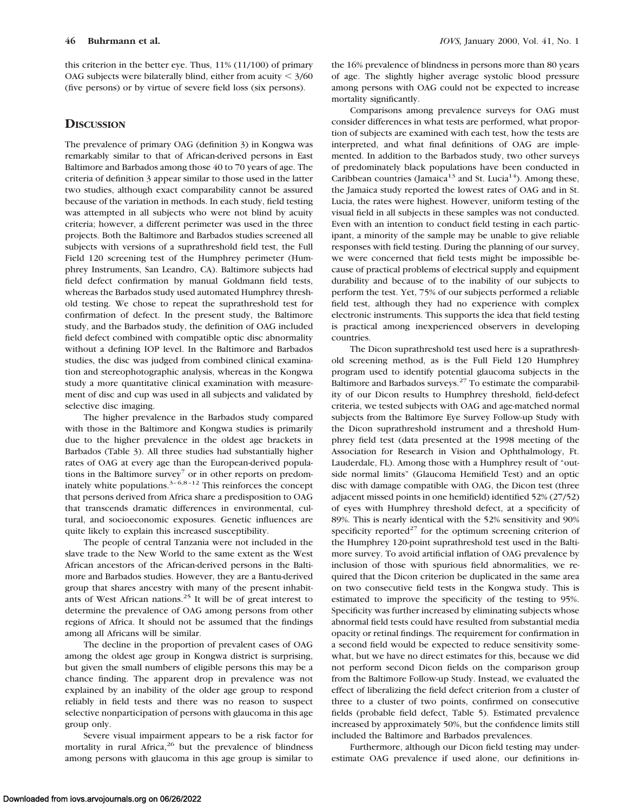this criterion in the better eye. Thus, 11% (11/100) of primary OAG subjects were bilaterally blind, either from acuity  $\leq 3/60$ (five persons) or by virtue of severe field loss (six persons).

# **DISCUSSION**

The prevalence of primary OAG (definition 3) in Kongwa was remarkably similar to that of African-derived persons in East Baltimore and Barbados among those 40 to 70 years of age. The criteria of definition 3 appear similar to those used in the latter two studies, although exact comparability cannot be assured because of the variation in methods. In each study, field testing was attempted in all subjects who were not blind by acuity criteria; however, a different perimeter was used in the three projects. Both the Baltimore and Barbados studies screened all subjects with versions of a suprathreshold field test, the Full Field 120 screening test of the Humphrey perimeter (Humphrey Instruments, San Leandro, CA). Baltimore subjects had field defect confirmation by manual Goldmann field tests, whereas the Barbados study used automated Humphrey threshold testing. We chose to repeat the suprathreshold test for confirmation of defect. In the present study, the Baltimore study, and the Barbados study, the definition of OAG included field defect combined with compatible optic disc abnormality without a defining IOP level. In the Baltimore and Barbados studies, the disc was judged from combined clinical examination and stereophotographic analysis, whereas in the Kongwa study a more quantitative clinical examination with measurement of disc and cup was used in all subjects and validated by selective disc imaging.

The higher prevalence in the Barbados study compared with those in the Baltimore and Kongwa studies is primarily due to the higher prevalence in the oldest age brackets in Barbados (Table 3). All three studies had substantially higher rates of OAG at every age than the European-derived populations in the Baltimore survey<sup>7</sup> or in other reports on predominately white populations.<sup>3–6,8–12</sup> This reinforces the concept that persons derived from Africa share a predisposition to OAG that transcends dramatic differences in environmental, cultural, and socioeconomic exposures. Genetic influences are quite likely to explain this increased susceptibility.

The people of central Tanzania were not included in the slave trade to the New World to the same extent as the West African ancestors of the African-derived persons in the Baltimore and Barbados studies. However, they are a Bantu-derived group that shares ancestry with many of the present inhabitants of West African nations.25 It will be of great interest to determine the prevalence of OAG among persons from other regions of Africa. It should not be assumed that the findings among all Africans will be similar.

The decline in the proportion of prevalent cases of OAG among the oldest age group in Kongwa district is surprising, but given the small numbers of eligible persons this may be a chance finding. The apparent drop in prevalence was not explained by an inability of the older age group to respond reliably in field tests and there was no reason to suspect selective nonparticipation of persons with glaucoma in this age group only.

Severe visual impairment appears to be a risk factor for mortality in rural Africa,<sup>26</sup> but the prevalence of blindness among persons with glaucoma in this age group is similar to

the 16% prevalence of blindness in persons more than 80 years of age. The slightly higher average systolic blood pressure among persons with OAG could not be expected to increase mortality significantly.

Comparisons among prevalence surveys for OAG must consider differences in what tests are performed, what proportion of subjects are examined with each test, how the tests are interpreted, and what final definitions of OAG are implemented. In addition to the Barbados study, two other surveys of predominately black populations have been conducted in Caribbean countries (Jamaica<sup>13</sup> and St. Lucia<sup>14</sup>). Among these, the Jamaica study reported the lowest rates of OAG and in St. Lucia, the rates were highest. However, uniform testing of the visual field in all subjects in these samples was not conducted. Even with an intention to conduct field testing in each participant, a minority of the sample may be unable to give reliable responses with field testing. During the planning of our survey, we were concerned that field tests might be impossible because of practical problems of electrical supply and equipment durability and because of to the inability of our subjects to perform the test. Yet, 75% of our subjects performed a reliable field test, although they had no experience with complex electronic instruments. This supports the idea that field testing is practical among inexperienced observers in developing countries.

The Dicon suprathreshold test used here is a suprathreshold screening method, as is the Full Field 120 Humphrey program used to identify potential glaucoma subjects in the Baltimore and Barbados surveys. $27$  To estimate the comparability of our Dicon results to Humphrey threshold, field-defect criteria, we tested subjects with OAG and age-matched normal subjects from the Baltimore Eye Survey Follow-up Study with the Dicon suprathreshold instrument and a threshold Humphrey field test (data presented at the 1998 meeting of the Association for Research in Vision and Ophthalmology, Ft. Lauderdale, FL). Among those with a Humphrey result of "outside normal limits" (Glaucoma Hemifield Test) and an optic disc with damage compatible with OAG, the Dicon test (three adjacent missed points in one hemifield) identified 52% (27/52) of eyes with Humphrey threshold defect, at a specificity of 89%. This is nearly identical with the 52% sensitivity and 90% specificity reported<sup>27</sup> for the optimum screening criterion of the Humphrey 120-point suprathreshold test used in the Baltimore survey. To avoid artificial inflation of OAG prevalence by inclusion of those with spurious field abnormalities, we required that the Dicon criterion be duplicated in the same area on two consecutive field tests in the Kongwa study. This is estimated to improve the specificity of the testing to 95%. Specificity was further increased by eliminating subjects whose abnormal field tests could have resulted from substantial media opacity or retinal findings. The requirement for confirmation in a second field would be expected to reduce sensitivity somewhat, but we have no direct estimates for this, because we did not perform second Dicon fields on the comparison group from the Baltimore Follow-up Study. Instead, we evaluated the effect of liberalizing the field defect criterion from a cluster of three to a cluster of two points, confirmed on consecutive fields (probable field defect, Table 5). Estimated prevalence increased by approximately 50%, but the confidence limits still included the Baltimore and Barbados prevalences.

Furthermore, although our Dicon field testing may underestimate OAG prevalence if used alone, our definitions in-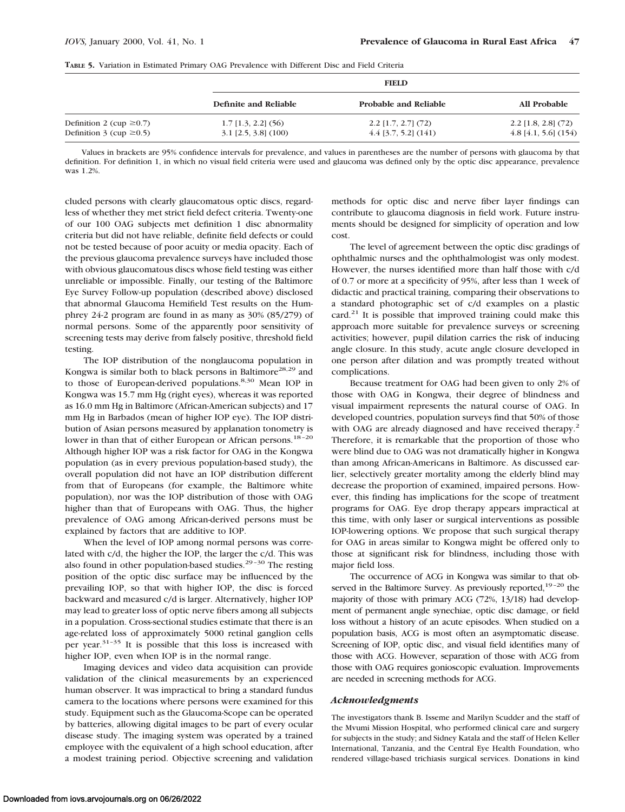|                               | <b>FIELD</b>           |                              |                        |
|-------------------------------|------------------------|------------------------------|------------------------|
|                               | Definite and Reliable  | <b>Probable and Reliable</b> | All Probable           |
| Definition 2 (cup $\geq$ 0.7) | $1.7$ [1.3, 2.2] (56)  | $2.2$ [1.7, 2.7] (72)        | $2.2$ [1.8, 2.8] (72)  |
| Definition 3 (cup $\geq$ 0.5) | $3.1$ [2.5, 3.8] (100) | $4.4$ [3.7, 5.2] $(141)$     | $4.8$ [4.1, 5.6] (154) |

Values in brackets are 95% confidence intervals for prevalence, and values in parentheses are the number of persons with glaucoma by that definition. For definition 1, in which no visual field criteria were used and glaucoma was defined only by the optic disc appearance, prevalence was 1.2%.

cluded persons with clearly glaucomatous optic discs, regardless of whether they met strict field defect criteria. Twenty-one of our 100 OAG subjects met definition 1 disc abnormality criteria but did not have reliable, definite field defects or could not be tested because of poor acuity or media opacity. Each of the previous glaucoma prevalence surveys have included those with obvious glaucomatous discs whose field testing was either unreliable or impossible. Finally, our testing of the Baltimore Eye Survey Follow-up population (described above) disclosed that abnormal Glaucoma Hemifield Test results on the Humphrey 24-2 program are found in as many as 30% (85/279) of normal persons. Some of the apparently poor sensitivity of screening tests may derive from falsely positive, threshold field testing.

The IOP distribution of the nonglaucoma population in Kongwa is similar both to black persons in Baltimore<sup>28,29</sup> and to those of European-derived populations.<sup>8,30</sup> Mean IOP in Kongwa was 15.7 mm Hg (right eyes), whereas it was reported as 16.0 mm Hg in Baltimore (African-American subjects) and 17 mm Hg in Barbados (mean of higher IOP eye). The IOP distribution of Asian persons measured by applanation tonometry is lower in than that of either European or African persons.<sup>18-20</sup> Although higher IOP was a risk factor for OAG in the Kongwa population (as in every previous population-based study), the overall population did not have an IOP distribution different from that of Europeans (for example, the Baltimore white population), nor was the IOP distribution of those with OAG higher than that of Europeans with OAG. Thus, the higher prevalence of OAG among African-derived persons must be explained by factors that are additive to IOP.

When the level of IOP among normal persons was correlated with c/d, the higher the IOP, the larger the c/d. This was also found in other population-based studies. $29-30$  The resting position of the optic disc surface may be influenced by the prevailing IOP, so that with higher IOP, the disc is forced backward and measured c/d is larger. Alternatively, higher IOP may lead to greater loss of optic nerve fibers among all subjects in a population. Cross-sectional studies estimate that there is an age-related loss of approximately 5000 retinal ganglion cells per year. $31-35$  It is possible that this loss is increased with higher IOP, even when IOP is in the normal range.

Imaging devices and video data acquisition can provide validation of the clinical measurements by an experienced human observer. It was impractical to bring a standard fundus camera to the locations where persons were examined for this study. Equipment such as the Glaucoma-Scope can be operated by batteries, allowing digital images to be part of every ocular disease study. The imaging system was operated by a trained employee with the equivalent of a high school education, after a modest training period. Objective screening and validation

methods for optic disc and nerve fiber layer findings can contribute to glaucoma diagnosis in field work. Future instruments should be designed for simplicity of operation and low cost.

The level of agreement between the optic disc gradings of ophthalmic nurses and the ophthalmologist was only modest. However, the nurses identified more than half those with c/d of 0.7 or more at a specificity of 95%, after less than 1 week of didactic and practical training, comparing their observations to a standard photographic set of c/d examples on a plastic card. $21$  It is possible that improved training could make this approach more suitable for prevalence surveys or screening activities; however, pupil dilation carries the risk of inducing angle closure. In this study, acute angle closure developed in one person after dilation and was promptly treated without complications.

Because treatment for OAG had been given to only 2% of those with OAG in Kongwa, their degree of blindness and visual impairment represents the natural course of OAG. In developed countries, population surveys find that 50% of those with OAG are already diagnosed and have received therapy.<sup>2</sup> Therefore, it is remarkable that the proportion of those who were blind due to OAG was not dramatically higher in Kongwa than among African-Americans in Baltimore. As discussed earlier, selectively greater mortality among the elderly blind may decrease the proportion of examined, impaired persons. However, this finding has implications for the scope of treatment programs for OAG. Eye drop therapy appears impractical at this time, with only laser or surgical interventions as possible IOP-lowering options. We propose that such surgical therapy for OAG in areas similar to Kongwa might be offered only to those at significant risk for blindness, including those with major field loss.

The occurrence of ACG in Kongwa was similar to that observed in the Baltimore Survey. As previously reported, $19-20$  the majority of those with primary ACG (72%, 13/18) had development of permanent angle synechiae, optic disc damage, or field loss without a history of an acute episodes. When studied on a population basis, ACG is most often an asymptomatic disease. Screening of IOP, optic disc, and visual field identifies many of those with ACG. However, separation of those with ACG from those with OAG requires gonioscopic evaluation. Improvements are needed in screening methods for ACG.

#### *Acknowledgments*

The investigators thank B. Isseme and Marilyn Scudder and the staff of the Mvumi Mission Hospital, who performed clinical care and surgery for subjects in the study; and Sidney Katala and the staff of Helen Keller International, Tanzania, and the Central Eye Health Foundation, who rendered village-based trichiasis surgical services. Donations in kind